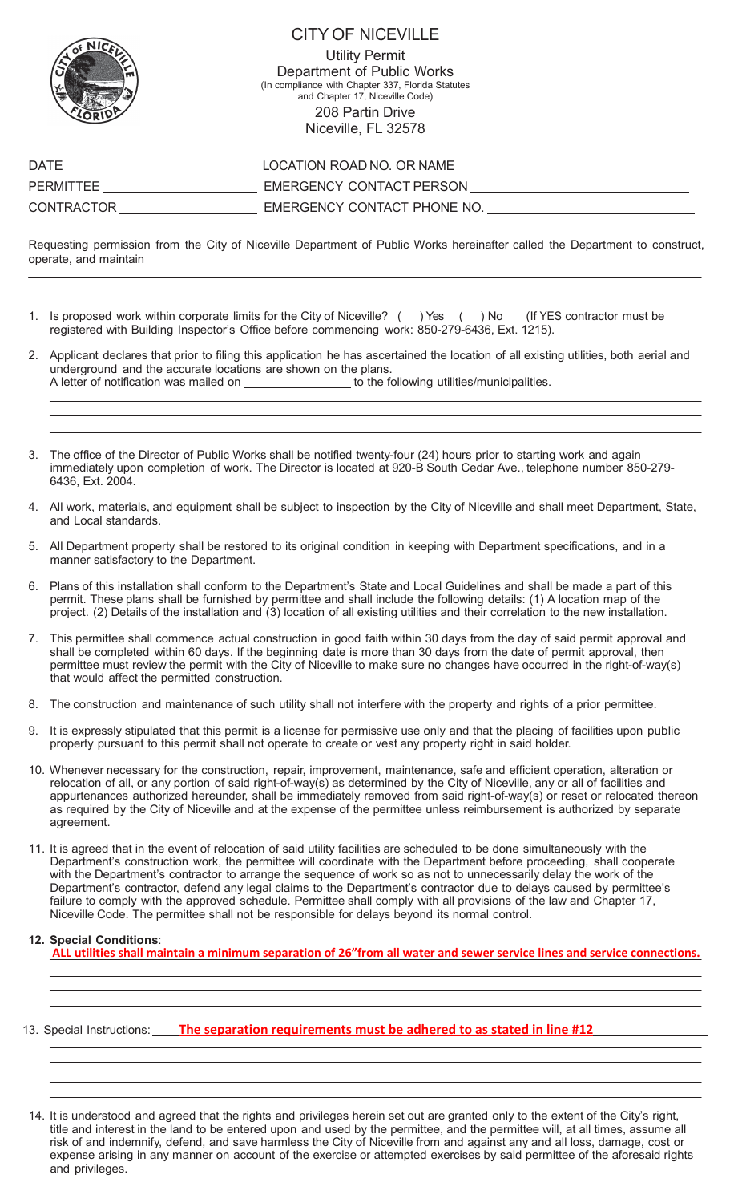

## CITY OF NICEVILLE

Utility Permit Department of Public Works (In compliance with Chapter 337, Florida Statutes and Chapter 17, Niceville Code) 208 Partin Drive Niceville, FL 32578

| DATE       | LOCATION ROAD NO. OR NAME   |
|------------|-----------------------------|
| PERMITTEE  | EMERGENCY CONTACT PERSON    |
| CONTRACTOR | EMERGENCY CONTACT PHONE NO. |

Requesting permission from the City of Niceville Department of Public Works hereinafter called the Department to construct, operate, and maintain

- 1. Is proposed work within corporate limits for the City of Niceville? ( ) Yes ( ) No (If YES contractor must be registered with Building Inspector's Office before commencing work: 850-279-6436, Ext. 1215).
- 2. Applicant declares that prior to filing this application he has ascertained the location of all existing utilities, both aerial and underground and the accurate locations are shown on the plans.<br>A letter of notification was mailed on \_\_\_\_\_\_\_\_\_\_\_\_\_\_\_\_\_ to the fo  $\_$  to the following utilities/municipalities.
- The office of the Director of Public Works shall be notified twenty-four (24) hours prior to starting work and again immediately upon completion of work. The Director is located at 920-B South Cedar Ave., telephone number 850-279- 6436, Ext. 2004.
- 4. All work, materials, and equipment shall be subject to inspection by the City of Niceville and shall meet Department, State, and Local standards.
- 5. All Department property shall be restored to its original condition in keeping with Department specifications, and in a manner satisfactory to the Department.
- 6. Plans of this installation shall conform to the Department's State and Local Guidelines and shall be made a part of this permit. These plans shall be furnished by permittee and shall include the following details: (1) A location map of the project. (2) Details of the installation and (3) location of all existing utilities and their correlation to the new installation.
- 7. This permittee shall commence actual construction in good faith within 30 days from the day of said permit approval and shall be completed within 60 days. If the beginning date is more than 30 days from the date of permit approval, then permittee must review the permit with the City of Niceville to make sure no changes have occurred in the right-of-way(s) that would affect the permitted construction.
- 8. The construction and maintenance of such utility shall not interfere with the property and rights of a prior permittee.
- 9. It is expressly stipulated that this permit is a license for permissive use only and that the placing of facilities upon public property pursuant to this permit shall not operate to create or vest any property right in said holder.
- 10. Whenever necessary for the construction, repair, improvement, maintenance, safe and efficient operation, alteration or relocation of all, or any portion of said right-of-way(s) as determined by the City of Niceville, any or all of facilities and appurtenances authorized hereunder, shall be immediately removed from said right-of-way(s) or reset or relocated thereon as required by the City of Niceville and at the expense of the permittee unless reimbursement is authorized by separate agreement.
- 11. It is agreed that in the event of relocation of said utility facilities are scheduled to be done simultaneously with the Department's construction work, the permittee will coordinate with the Department before proceeding, shall cooperate with the Department's contractor to arrange the sequence of work so as not to unnecessarily delay the work of the Department's contractor, defend any legal claims to the Department's contractor due to delays caused by permittee's failure to comply with the approved schedule. Permittee shall comply with all provisions of the law and Chapter 17, Niceville Code. The permittee shall not be responsible for delays beyond its normal control.

## **12. Special Conditions**:

**ALL utilities shall maintain a minimum separation of 26"from all water and sewer service lines and service connections.**

## 13. Special Instructions: **The separation requirements must be adhered to as stated in line #12**

14. It is understood and agreed that the rights and privileges herein set out are granted only to the extent of the City's right, title and interest in the land to be entered upon and used by the permittee, and the permittee will, at all times, assume all risk of and indemnify, defend, and save harmless the City of Niceville from and against any and all loss, damage, cost or expense arising in any manner on account of the exercise or attempted exercises by said permittee of the aforesaid rights and privileges.